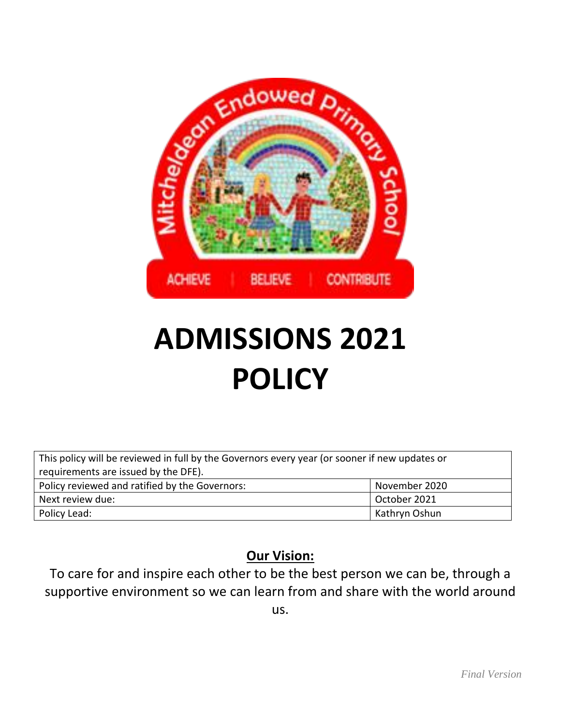

# **ADMISSIONS 2021 POLICY**

| This policy will be reviewed in full by the Governors every year (or sooner if new updates or |               |
|-----------------------------------------------------------------------------------------------|---------------|
| requirements are issued by the DFE).                                                          |               |
| Policy reviewed and ratified by the Governors:                                                | November 2020 |
| Next review due:                                                                              | October 2021  |
| Policy Lead:                                                                                  | Kathryn Oshun |

# **Our Vision:**

To care for and inspire each other to be the best person we can be, through a supportive environment so we can learn from and share with the world around us.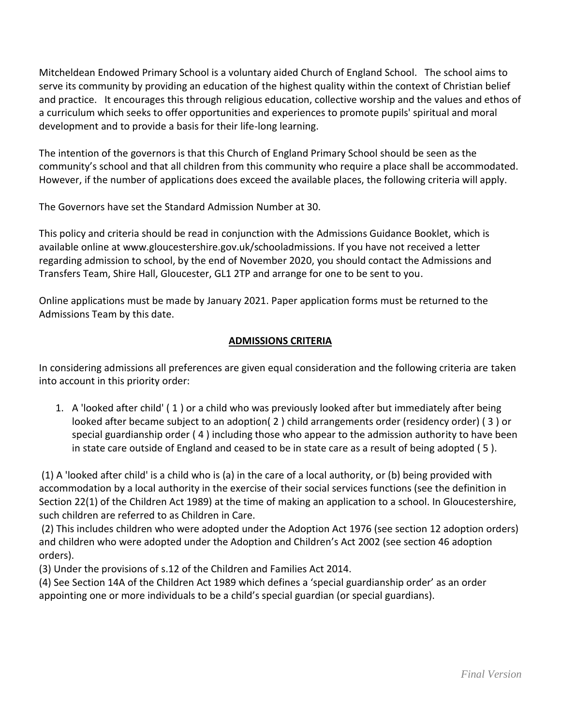Mitcheldean Endowed Primary School is a voluntary aided Church of England School. The school aims to serve its community by providing an education of the highest quality within the context of Christian belief and practice. It encourages this through religious education, collective worship and the values and ethos of a curriculum which seeks to offer opportunities and experiences to promote pupils' spiritual and moral development and to provide a basis for their life-long learning.

The intention of the governors is that this Church of England Primary School should be seen as the community's school and that all children from this community who require a place shall be accommodated. However, if the number of applications does exceed the available places, the following criteria will apply.

The Governors have set the Standard Admission Number at 30.

This policy and criteria should be read in conjunction with the Admissions Guidance Booklet, which is available online at www.gloucestershire.gov.uk/schooladmissions. If you have not received a letter regarding admission to school, by the end of November 2020, you should contact the Admissions and Transfers Team, Shire Hall, Gloucester, GL1 2TP and arrange for one to be sent to you.

Online applications must be made by January 2021. Paper application forms must be returned to the Admissions Team by this date.

## **ADMISSIONS CRITERIA**

In considering admissions all preferences are given equal consideration and the following criteria are taken into account in this priority order:

1. A 'looked after child' ( 1 ) or a child who was previously looked after but immediately after being looked after became subject to an adoption( 2 ) child arrangements order (residency order) ( 3 ) or special guardianship order ( 4 ) including those who appear to the admission authority to have been in state care outside of England and ceased to be in state care as a result of being adopted ( 5 ).

(1) A 'looked after child' is a child who is (a) in the care of a local authority, or (b) being provided with accommodation by a local authority in the exercise of their social services functions (see the definition in Section 22(1) of the Children Act 1989) at the time of making an application to a school. In Gloucestershire, such children are referred to as Children in Care.

(2) This includes children who were adopted under the Adoption Act 1976 (see section 12 adoption orders) and children who were adopted under the Adoption and Children's Act 2002 (see section 46 adoption orders).

(3) Under the provisions of s.12 of the Children and Families Act 2014.

(4) See Section 14A of the Children Act 1989 which defines a 'special guardianship order' as an order appointing one or more individuals to be a child's special guardian (or special guardians).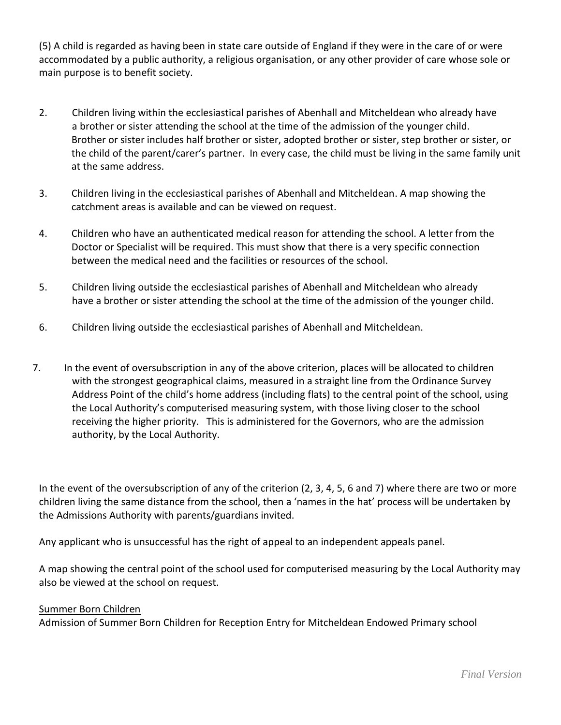(5) A child is regarded as having been in state care outside of England if they were in the care of or were accommodated by a public authority, a religious organisation, or any other provider of care whose sole or main purpose is to benefit society.

- 2. Children living within the ecclesiastical parishes of Abenhall and Mitcheldean who already have a brother or sister attending the school at the time of the admission of the younger child. Brother or sister includes half brother or sister, adopted brother or sister, step brother or sister, or the child of the parent/carer's partner. In every case, the child must be living in the same family unit at the same address.
- 3. Children living in the ecclesiastical parishes of Abenhall and Mitcheldean. A map showing the catchment areas is available and can be viewed on request.
- 4. Children who have an authenticated medical reason for attending the school. A letter from the Doctor or Specialist will be required. This must show that there is a very specific connection between the medical need and the facilities or resources of the school.
- 5. Children living outside the ecclesiastical parishes of Abenhall and Mitcheldean who already have a brother or sister attending the school at the time of the admission of the younger child.
- 6. Children living outside the ecclesiastical parishes of Abenhall and Mitcheldean.
- 7. In the event of oversubscription in any of the above criterion, places will be allocated to children with the strongest geographical claims, measured in a straight line from the Ordinance Survey Address Point of the child's home address (including flats) to the central point of the school, using the Local Authority's computerised measuring system, with those living closer to the school receiving the higher priority. This is administered for the Governors, who are the admission authority, by the Local Authority.

In the event of the oversubscription of any of the criterion (2, 3, 4, 5, 6 and 7) where there are two or more children living the same distance from the school, then a 'names in the hat' process will be undertaken by the Admissions Authority with parents/guardians invited.

Any applicant who is unsuccessful has the right of appeal to an independent appeals panel.

A map showing the central point of the school used for computerised measuring by the Local Authority may also be viewed at the school on request.

#### Summer Born Children

Admission of Summer Born Children for Reception Entry for Mitcheldean Endowed Primary school